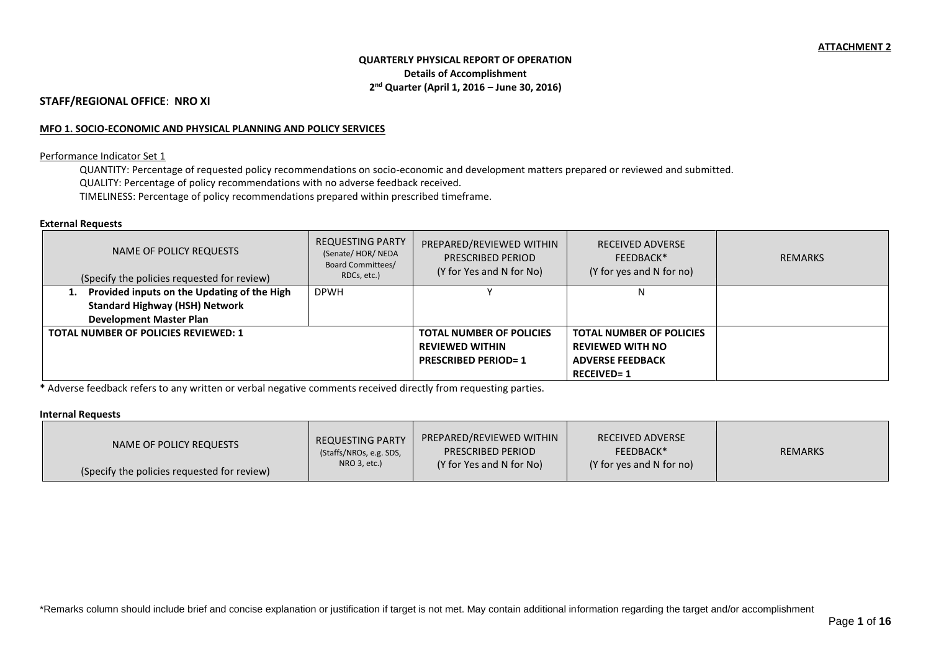# **QUARTERLY PHYSICAL REPORT OF OPERATION Details of Accomplishment 2 nd Quarter (April 1, 2016 – June 30, 2016)**

## **STAFF/REGIONAL OFFICE**: **NRO XI**

#### **MFO 1. SOCIO-ECONOMIC AND PHYSICAL PLANNING AND POLICY SERVICES**

#### Performance Indicator Set 1

QUANTITY: Percentage of requested policy recommendations on socio-economic and development matters prepared or reviewed and submitted. QUALITY: Percentage of policy recommendations with no adverse feedback received. TIMELINESS: Percentage of policy recommendations prepared within prescribed timeframe.

#### **External Requests**

| NAME OF POLICY REQUESTS<br>(Specify the policies requested for review) | <b>REQUESTING PARTY</b><br>(Senate/HOR/NEDA<br><b>Board Committees/</b><br>RDCs, etc.) | PREPARED/REVIEWED WITHIN<br>PRESCRIBED PERIOD<br>(Y for Yes and N for No) | <b>RECEIVED ADVERSE</b><br>FEEDBACK*<br>(Y for yes and N for no) | <b>REMARKS</b> |
|------------------------------------------------------------------------|----------------------------------------------------------------------------------------|---------------------------------------------------------------------------|------------------------------------------------------------------|----------------|
| 1. Provided inputs on the Updating of the High                         | <b>DPWH</b>                                                                            |                                                                           |                                                                  |                |
| <b>Standard Highway (HSH) Network</b>                                  |                                                                                        |                                                                           |                                                                  |                |
| <b>Development Master Plan</b>                                         |                                                                                        |                                                                           |                                                                  |                |
| <b>TOTAL NUMBER OF POLICIES REVIEWED: 1</b>                            |                                                                                        | <b>TOTAL NUMBER OF POLICIES</b>                                           | <b>TOTAL NUMBER OF POLICIES</b>                                  |                |
|                                                                        |                                                                                        | <b>REVIEWED WITHIN</b>                                                    | <b>REVIEWED WITH NO</b>                                          |                |
|                                                                        |                                                                                        | <b>PRESCRIBED PERIOD=1</b>                                                | <b>ADVERSE FEEDBACK</b>                                          |                |
|                                                                        |                                                                                        |                                                                           | <b>RECEIVED=1</b>                                                |                |

**\*** Adverse feedback refers to any written or verbal negative comments received directly from requesting parties.

#### **Internal Requests**

| NAME OF POLICY REQUESTS                     | <b>REQUESTING PARTY</b><br>(Staffs/NROs, e.g. SDS, | PREPARED/REVIEWED WITHIN<br><b>PRESCRIBED PERIOD</b> | <b>RECEIVED ADVERSE</b><br>FEEDBACK* | <b>REMARKS</b> |
|---------------------------------------------|----------------------------------------------------|------------------------------------------------------|--------------------------------------|----------------|
| (Specify the policies requested for review) | NRO 3, etc.)                                       | (Y for Yes and N for No)                             | (Y for yes and N for no)             |                |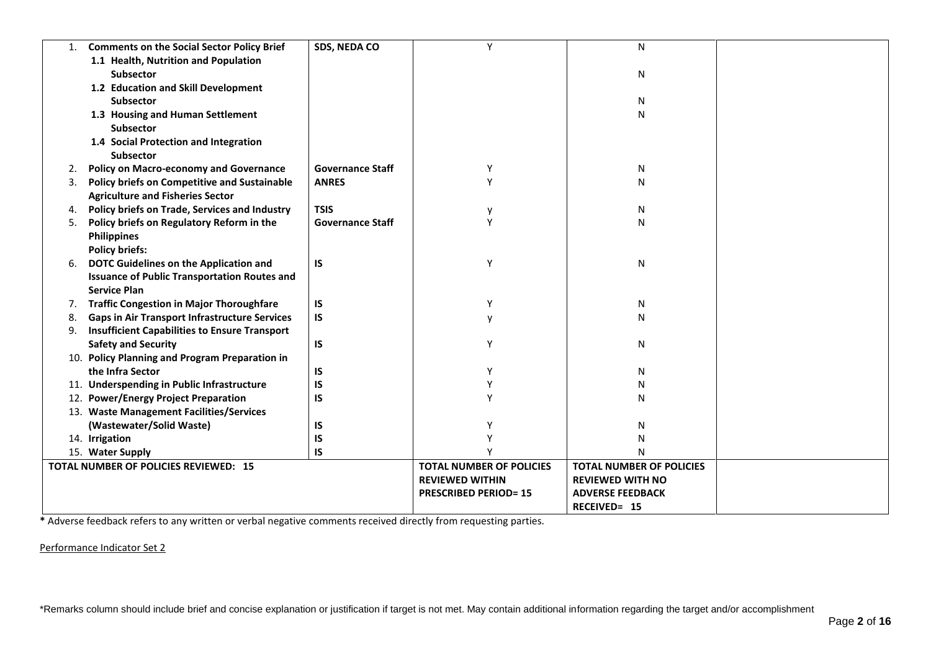| 1. | <b>Comments on the Social Sector Policy Brief</b>    | SDS, NEDA CO            | Y                               | ${\sf N}$                       |  |
|----|------------------------------------------------------|-------------------------|---------------------------------|---------------------------------|--|
|    | 1.1 Health, Nutrition and Population                 |                         |                                 |                                 |  |
|    | <b>Subsector</b>                                     |                         |                                 | N                               |  |
|    | 1.2 Education and Skill Development                  |                         |                                 |                                 |  |
|    | <b>Subsector</b>                                     |                         |                                 | N                               |  |
|    | 1.3 Housing and Human Settlement                     |                         |                                 | N                               |  |
|    | <b>Subsector</b>                                     |                         |                                 |                                 |  |
|    | 1.4 Social Protection and Integration                |                         |                                 |                                 |  |
|    | <b>Subsector</b>                                     |                         |                                 |                                 |  |
| 2. | <b>Policy on Macro-economy and Governance</b>        | <b>Governance Staff</b> | Y                               | N                               |  |
| 3. | <b>Policy briefs on Competitive and Sustainable</b>  | <b>ANRES</b>            | Y                               | N                               |  |
|    | <b>Agriculture and Fisheries Sector</b>              |                         |                                 |                                 |  |
| 4. | Policy briefs on Trade, Services and Industry        | <b>TSIS</b>             |                                 | N                               |  |
| 5. | Policy briefs on Regulatory Reform in the            | <b>Governance Staff</b> | Y                               | N                               |  |
|    | <b>Philippines</b>                                   |                         |                                 |                                 |  |
|    | <b>Policy briefs:</b>                                |                         |                                 |                                 |  |
| 6. | DOTC Guidelines on the Application and               | IS                      | Y                               | N                               |  |
|    | <b>Issuance of Public Transportation Routes and</b>  |                         |                                 |                                 |  |
|    | <b>Service Plan</b>                                  |                         |                                 |                                 |  |
| 7. | <b>Traffic Congestion in Major Thoroughfare</b>      | IS                      | Υ                               | N                               |  |
| 8. | <b>Gaps in Air Transport Infrastructure Services</b> | IS                      |                                 | N                               |  |
| 9. | <b>Insufficient Capabilities to Ensure Transport</b> |                         |                                 |                                 |  |
|    | <b>Safety and Security</b>                           | IS                      | Υ                               | N                               |  |
|    | 10. Policy Planning and Program Preparation in       |                         |                                 |                                 |  |
|    | the Infra Sector                                     | IS                      | Υ                               | N                               |  |
|    | 11. Underspending in Public Infrastructure           | IS                      | γ                               | N                               |  |
|    | 12. Power/Energy Project Preparation                 | IS                      | v                               | N                               |  |
|    | 13. Waste Management Facilities/Services             |                         |                                 |                                 |  |
|    | (Wastewater/Solid Waste)                             | IS                      |                                 | N                               |  |
|    | 14. Irrigation                                       | IS                      |                                 | N                               |  |
|    | 15. Water Supply                                     | IS                      |                                 | N                               |  |
|    | TOTAL NUMBER OF POLICIES REVIEWED: 15                |                         | <b>TOTAL NUMBER OF POLICIES</b> | <b>TOTAL NUMBER OF POLICIES</b> |  |
|    |                                                      |                         | <b>REVIEWED WITHIN</b>          | <b>REVIEWED WITH NO</b>         |  |
|    |                                                      |                         | <b>PRESCRIBED PERIOD=15</b>     | <b>ADVERSE FEEDBACK</b>         |  |
|    |                                                      |                         |                                 | RECEIVED= 15                    |  |

**\*** Adverse feedback refers to any written or verbal negative comments received directly from requesting parties.

Performance Indicator Set 2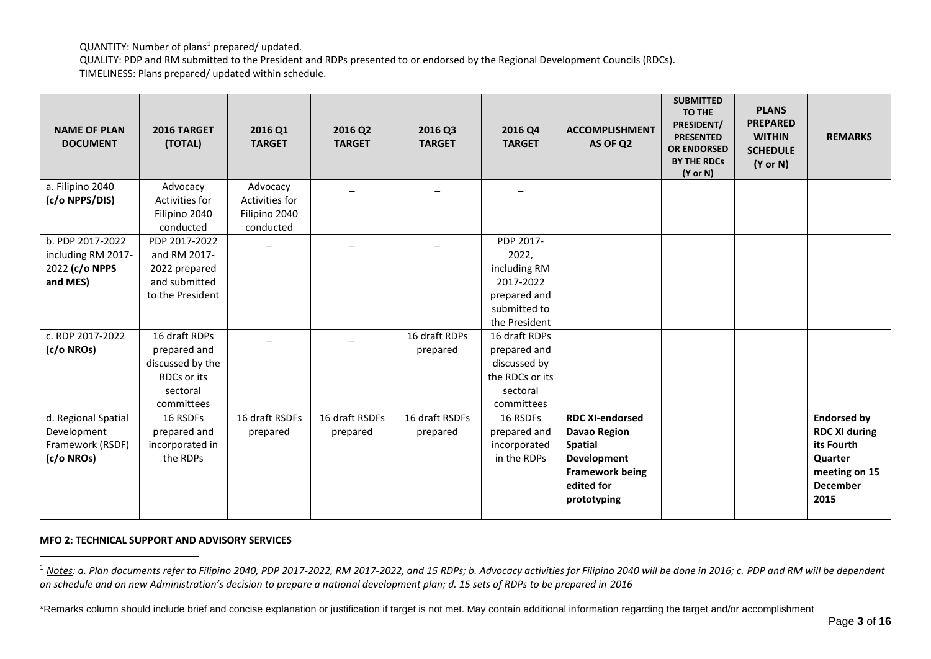QUANTITY: Number of plans<sup>1</sup> prepared/ updated.

QUALITY: PDP and RM submitted to the President and RDPs presented to or endorsed by the Regional Development Councils (RDCs). TIMELINESS: Plans prepared/ updated within schedule.

| <b>NAME OF PLAN</b><br><b>DOCUMENT</b> | 2016 TARGET<br>(TOTAL)            | 2016 Q1<br><b>TARGET</b> | 2016 Q2<br><b>TARGET</b> | 2016 Q3<br><b>TARGET</b> | 2016 Q4<br><b>TARGET</b>  | <b>ACCOMPLISHMENT</b><br>AS OF Q2 | <b>SUBMITTED</b><br><b>TO THE</b><br>PRESIDENT/<br><b>PRESENTED</b><br><b>OR ENDORSED</b><br><b>BY THE RDCs</b><br>$(Y \text{ or } N)$ | <b>PLANS</b><br><b>PREPARED</b><br><b>WITHIN</b><br><b>SCHEDULE</b><br>$(Y \text{ or } N)$ | <b>REMARKS</b>       |
|----------------------------------------|-----------------------------------|--------------------------|--------------------------|--------------------------|---------------------------|-----------------------------------|----------------------------------------------------------------------------------------------------------------------------------------|--------------------------------------------------------------------------------------------|----------------------|
| a. Filipino 2040                       | Advocacy                          | Advocacy                 |                          |                          |                           |                                   |                                                                                                                                        |                                                                                            |                      |
| (c/o NPPS/DIS)                         | Activities for                    | Activities for           |                          |                          |                           |                                   |                                                                                                                                        |                                                                                            |                      |
|                                        | Filipino 2040                     | Filipino 2040            |                          |                          |                           |                                   |                                                                                                                                        |                                                                                            |                      |
|                                        | conducted                         | conducted                |                          |                          |                           |                                   |                                                                                                                                        |                                                                                            |                      |
| b. PDP 2017-2022                       | PDP 2017-2022                     |                          |                          |                          | PDP 2017-                 |                                   |                                                                                                                                        |                                                                                            |                      |
| including RM 2017-                     | and RM 2017-                      |                          |                          |                          | 2022,                     |                                   |                                                                                                                                        |                                                                                            |                      |
| 2022 (c/o NPPS                         | 2022 prepared                     |                          |                          |                          | including RM              |                                   |                                                                                                                                        |                                                                                            |                      |
| and MES)                               | and submitted<br>to the President |                          |                          |                          | 2017-2022<br>prepared and |                                   |                                                                                                                                        |                                                                                            |                      |
|                                        |                                   |                          |                          |                          | submitted to              |                                   |                                                                                                                                        |                                                                                            |                      |
|                                        |                                   |                          |                          |                          | the President             |                                   |                                                                                                                                        |                                                                                            |                      |
| c. RDP 2017-2022                       | 16 draft RDPs                     |                          |                          | 16 draft RDPs            | 16 draft RDPs             |                                   |                                                                                                                                        |                                                                                            |                      |
| (c/o NROs)                             | prepared and                      |                          |                          | prepared                 | prepared and              |                                   |                                                                                                                                        |                                                                                            |                      |
|                                        | discussed by the                  |                          |                          |                          | discussed by              |                                   |                                                                                                                                        |                                                                                            |                      |
|                                        | RDCs or its                       |                          |                          |                          | the RDCs or its           |                                   |                                                                                                                                        |                                                                                            |                      |
|                                        | sectoral                          |                          |                          |                          | sectoral                  |                                   |                                                                                                                                        |                                                                                            |                      |
|                                        | committees                        |                          |                          |                          | committees                |                                   |                                                                                                                                        |                                                                                            |                      |
| d. Regional Spatial                    | 16 RSDFs                          | 16 draft RSDFs           | 16 draft RSDFs           | 16 draft RSDFs           | 16 RSDFs                  | <b>RDC XI-endorsed</b>            |                                                                                                                                        |                                                                                            | <b>Endorsed by</b>   |
| Development                            | prepared and                      | prepared                 | prepared                 | prepared                 | prepared and              | <b>Davao Region</b>               |                                                                                                                                        |                                                                                            | <b>RDC XI during</b> |
| Framework (RSDF)                       | incorporated in                   |                          |                          |                          | incorporated              | <b>Spatial</b>                    |                                                                                                                                        |                                                                                            | its Fourth           |
| (c/o NROs)                             | the RDPs                          |                          |                          |                          | in the RDPs               | <b>Development</b>                |                                                                                                                                        |                                                                                            | <b>Quarter</b>       |
|                                        |                                   |                          |                          |                          |                           | <b>Framework being</b>            |                                                                                                                                        |                                                                                            | meeting on 15        |
|                                        |                                   |                          |                          |                          |                           | edited for                        |                                                                                                                                        |                                                                                            | <b>December</b>      |
|                                        |                                   |                          |                          |                          |                           | prototyping                       |                                                                                                                                        |                                                                                            | 2015                 |
|                                        |                                   |                          |                          |                          |                           |                                   |                                                                                                                                        |                                                                                            |                      |

#### **MFO 2: TECHNICAL SUPPORT AND ADVISORY SERVICES**

1

<sup>&</sup>lt;sup>1</sup> Notes: a. Plan documents refer to Filipino 2040, PDP 2017-2022, RM 2017-2022, and 15 RDPs; b. Advocacy activities for Filipino 2040 will be done in 2016; c. PDP and RM will be dependent *on schedule and on new Administration's decision to prepare a national development plan; d. 15 sets of RDPs to be prepared in 2016*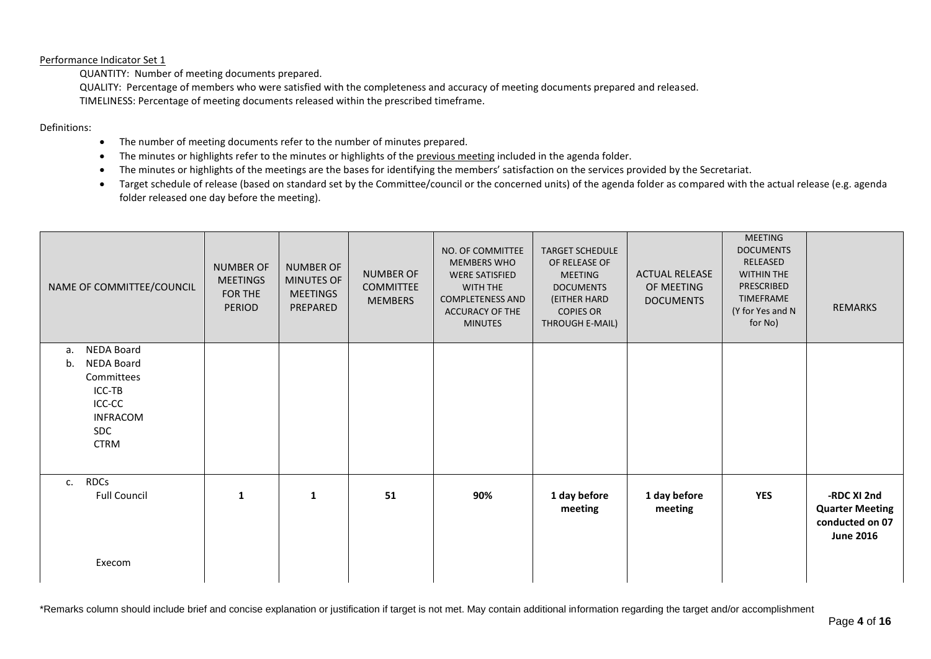#### Performance Indicator Set 1

QUANTITY: Number of meeting documents prepared.

QUALITY: Percentage of members who were satisfied with the completeness and accuracy of meeting documents prepared and released. TIMELINESS: Percentage of meeting documents released within the prescribed timeframe.

#### Definitions:

- The number of meeting documents refer to the number of minutes prepared.
- The minutes or highlights refer to the minutes or highlights of the previous meeting included in the agenda folder.
- The minutes or highlights of the meetings are the bases for identifying the members' satisfaction on the services provided by the Secretariat.
- Target schedule of release (based on standard set by the Committee/council or the concerned units) of the agenda folder as compared with the actual release (e.g. agenda folder released one day before the meeting).

| NAME OF COMMITTEE/COUNCIL                   | <b>NUMBER OF</b><br><b>MEETINGS</b><br>FOR THE<br>PERIOD | <b>NUMBER OF</b><br>MINUTES OF<br><b>MEETINGS</b><br>PREPARED | <b>NUMBER OF</b><br><b>COMMITTEE</b><br><b>MEMBERS</b> | NO. OF COMMITTEE<br><b>MEMBERS WHO</b><br><b>WERE SATISFIED</b><br>WITH THE<br><b>COMPLETENESS AND</b><br><b>ACCURACY OF THE</b><br><b>MINUTES</b> | <b>TARGET SCHEDULE</b><br>OF RELEASE OF<br><b>MEETING</b><br><b>DOCUMENTS</b><br>(EITHER HARD<br><b>COPIES OR</b><br>THROUGH E-MAIL) | <b>ACTUAL RELEASE</b><br>OF MEETING<br><b>DOCUMENTS</b> | <b>MEETING</b><br><b>DOCUMENTS</b><br>RELEASED<br><b>WITHIN THE</b><br>PRESCRIBED<br><b>TIMEFRAME</b><br>(Y for Yes and N<br>for No) | REMARKS                                                       |
|---------------------------------------------|----------------------------------------------------------|---------------------------------------------------------------|--------------------------------------------------------|----------------------------------------------------------------------------------------------------------------------------------------------------|--------------------------------------------------------------------------------------------------------------------------------------|---------------------------------------------------------|--------------------------------------------------------------------------------------------------------------------------------------|---------------------------------------------------------------|
| NEDA Board<br>a.<br><b>NEDA Board</b><br>b. |                                                          |                                                               |                                                        |                                                                                                                                                    |                                                                                                                                      |                                                         |                                                                                                                                      |                                                               |
| Committees                                  |                                                          |                                                               |                                                        |                                                                                                                                                    |                                                                                                                                      |                                                         |                                                                                                                                      |                                                               |
| ICC-TB                                      |                                                          |                                                               |                                                        |                                                                                                                                                    |                                                                                                                                      |                                                         |                                                                                                                                      |                                                               |
| ICC-CC<br><b>INFRACOM</b>                   |                                                          |                                                               |                                                        |                                                                                                                                                    |                                                                                                                                      |                                                         |                                                                                                                                      |                                                               |
| SDC                                         |                                                          |                                                               |                                                        |                                                                                                                                                    |                                                                                                                                      |                                                         |                                                                                                                                      |                                                               |
| <b>CTRM</b>                                 |                                                          |                                                               |                                                        |                                                                                                                                                    |                                                                                                                                      |                                                         |                                                                                                                                      |                                                               |
|                                             |                                                          |                                                               |                                                        |                                                                                                                                                    |                                                                                                                                      |                                                         |                                                                                                                                      |                                                               |
| <b>RDCs</b><br>c.<br><b>Full Council</b>    | $\mathbf{1}$                                             | $\mathbf{1}$                                                  | 51                                                     | 90%                                                                                                                                                | 1 day before                                                                                                                         | 1 day before                                            | <b>YES</b>                                                                                                                           | -RDC XI 2nd                                                   |
|                                             |                                                          |                                                               |                                                        |                                                                                                                                                    | meeting                                                                                                                              | meeting                                                 |                                                                                                                                      | <b>Quarter Meeting</b><br>conducted on 07<br><b>June 2016</b> |
| Execom                                      |                                                          |                                                               |                                                        |                                                                                                                                                    |                                                                                                                                      |                                                         |                                                                                                                                      |                                                               |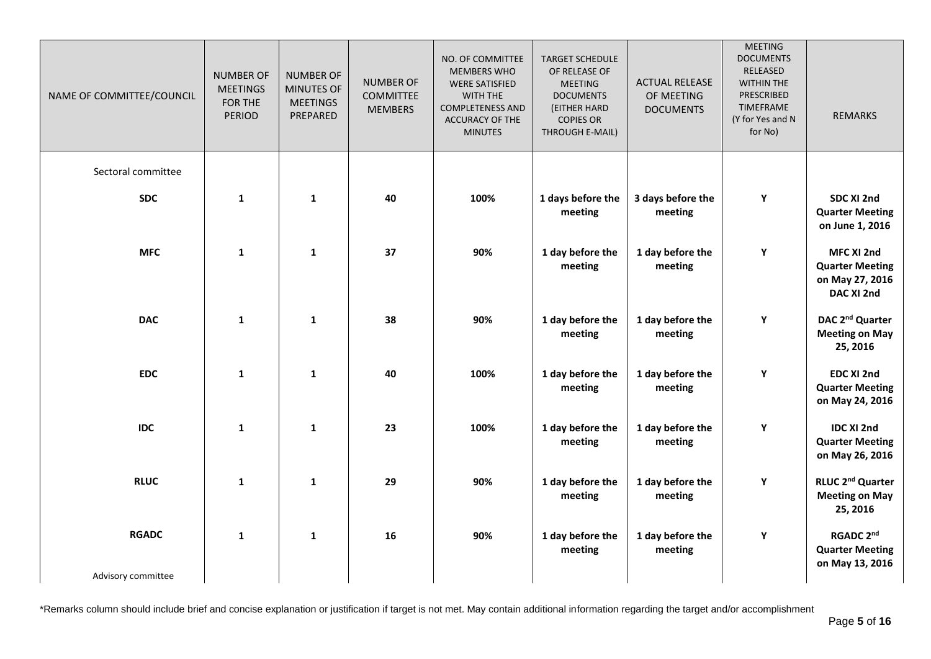| NAME OF COMMITTEE/COUNCIL | <b>NUMBER OF</b><br><b>MEETINGS</b><br>FOR THE<br><b>PERIOD</b> | <b>NUMBER OF</b><br><b>MINUTES OF</b><br><b>MEETINGS</b><br>PREPARED | <b>NUMBER OF</b><br><b>COMMITTEE</b><br><b>MEMBERS</b> | NO. OF COMMITTEE<br><b>MEMBERS WHO</b><br><b>WERE SATISFIED</b><br>WITH THE<br><b>COMPLETENESS AND</b><br><b>ACCURACY OF THE</b><br><b>MINUTES</b> | <b>TARGET SCHEDULE</b><br>OF RELEASE OF<br><b>MEETING</b><br><b>DOCUMENTS</b><br>(EITHER HARD<br><b>COPIES OR</b><br>THROUGH E-MAIL) | <b>ACTUAL RELEASE</b><br>OF MEETING<br><b>DOCUMENTS</b> | <b>MEETING</b><br><b>DOCUMENTS</b><br>RELEASED<br>WITHIN THE<br>PRESCRIBED<br><b>TIMEFRAME</b><br>(Y for Yes and N<br>for No) | <b>REMARKS</b>                                                        |
|---------------------------|-----------------------------------------------------------------|----------------------------------------------------------------------|--------------------------------------------------------|----------------------------------------------------------------------------------------------------------------------------------------------------|--------------------------------------------------------------------------------------------------------------------------------------|---------------------------------------------------------|-------------------------------------------------------------------------------------------------------------------------------|-----------------------------------------------------------------------|
| Sectoral committee        |                                                                 |                                                                      |                                                        |                                                                                                                                                    |                                                                                                                                      |                                                         |                                                                                                                               |                                                                       |
| <b>SDC</b>                | $\mathbf{1}$                                                    | $\mathbf{1}$                                                         | 40                                                     | 100%                                                                                                                                               | 1 days before the<br>meeting                                                                                                         | 3 days before the<br>meeting                            | Y                                                                                                                             | SDC XI 2nd<br><b>Quarter Meeting</b><br>on June 1, 2016               |
| <b>MFC</b>                | $\mathbf{1}$                                                    | $\mathbf{1}$                                                         | 37                                                     | 90%                                                                                                                                                | 1 day before the<br>meeting                                                                                                          | 1 day before the<br>meeting                             | $\mathbf Y$                                                                                                                   | MFC XI 2nd<br><b>Quarter Meeting</b><br>on May 27, 2016<br>DAC XI 2nd |
| <b>DAC</b>                | $\mathbf 1$                                                     | $\mathbf{1}$                                                         | 38                                                     | 90%                                                                                                                                                | 1 day before the<br>meeting                                                                                                          | 1 day before the<br>meeting                             | Y                                                                                                                             | DAC 2 <sup>nd</sup> Quarter<br><b>Meeting on May</b><br>25, 2016      |
| <b>EDC</b>                | $\mathbf 1$                                                     | 1                                                                    | 40                                                     | 100%                                                                                                                                               | 1 day before the<br>meeting                                                                                                          | 1 day before the<br>meeting                             | Y                                                                                                                             | EDC XI 2nd<br><b>Quarter Meeting</b><br>on May 24, 2016               |
| <b>IDC</b>                | $\mathbf{1}$                                                    | $\mathbf{1}$                                                         | 23                                                     | 100%                                                                                                                                               | 1 day before the<br>meeting                                                                                                          | 1 day before the<br>meeting                             | $\mathbf Y$                                                                                                                   | <b>IDC XI 2nd</b><br><b>Quarter Meeting</b><br>on May 26, 2016        |
| <b>RLUC</b>               | $\mathbf 1$                                                     | $\mathbf{1}$                                                         | 29                                                     | 90%                                                                                                                                                | 1 day before the<br>meeting                                                                                                          | 1 day before the<br>meeting                             | $\mathbf Y$                                                                                                                   | RLUC 2 <sup>nd</sup> Quarter<br><b>Meeting on May</b><br>25, 2016     |
| <b>RGADC</b>              | $\mathbf{1}$                                                    | $\mathbf{1}$                                                         | 16                                                     | 90%                                                                                                                                                | 1 day before the<br>meeting                                                                                                          | 1 day before the<br>meeting                             | Y                                                                                                                             | RGADC 2nd<br><b>Quarter Meeting</b><br>on May 13, 2016                |
| Advisory committee        |                                                                 |                                                                      |                                                        |                                                                                                                                                    |                                                                                                                                      |                                                         |                                                                                                                               |                                                                       |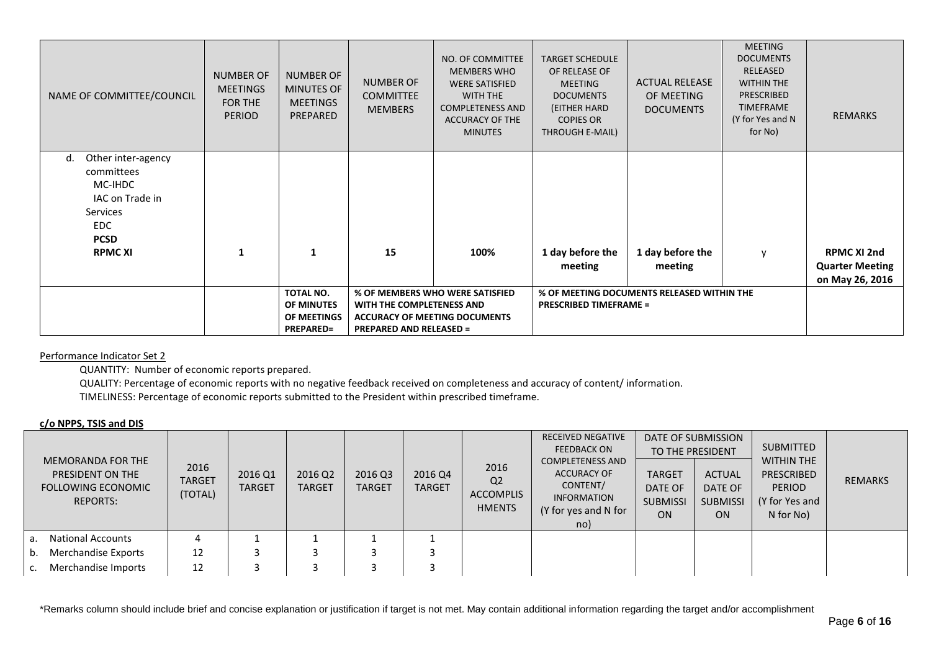| NAME OF COMMITTEE/COUNCIL                                                                                                      | <b>NUMBER OF</b><br><b>MEETINGS</b><br>FOR THE<br><b>PERIOD</b> | NUMBER OF<br><b>MINUTES OF</b><br><b>MEETINGS</b><br>PREPARED | <b>NUMBER OF</b><br><b>COMMITTEE</b><br><b>MEMBERS</b>      | NO. OF COMMITTEE<br><b>MEMBERS WHO</b><br><b>WERE SATISFIED</b><br><b>WITH THE</b><br><b>COMPLETENESS AND</b><br>ACCURACY OF THE<br><b>MINUTES</b> | <b>TARGET SCHEDULE</b><br>OF RELEASE OF<br><b>MEETING</b><br><b>DOCUMENTS</b><br>(EITHER HARD<br><b>COPIES OR</b><br>THROUGH E-MAIL) | <b>ACTUAL RELEASE</b><br>OF MEETING<br><b>DOCUMENTS</b> | <b>MEETING</b><br><b>DOCUMENTS</b><br>RELEASED<br><b>WITHIN THE</b><br><b>PRESCRIBED</b><br><b>TIMEFRAME</b><br>(Y for Yes and N<br>for No) | <b>REMARKS</b>                                                  |
|--------------------------------------------------------------------------------------------------------------------------------|-----------------------------------------------------------------|---------------------------------------------------------------|-------------------------------------------------------------|----------------------------------------------------------------------------------------------------------------------------------------------------|--------------------------------------------------------------------------------------------------------------------------------------|---------------------------------------------------------|---------------------------------------------------------------------------------------------------------------------------------------------|-----------------------------------------------------------------|
| Other inter-agency<br>d.<br>committees<br>MC-IHDC<br>IAC on Trade in<br>Services<br><b>EDC</b><br><b>PCSD</b><br><b>RPMCXI</b> | 1                                                               | 1                                                             | 15                                                          | 100%                                                                                                                                               | 1 day before the<br>meeting                                                                                                          | 1 day before the<br>meeting                             | $\mathsf{V}$                                                                                                                                | <b>RPMC XI 2nd</b><br><b>Quarter Meeting</b><br>on May 26, 2016 |
|                                                                                                                                |                                                                 | TOTAL NO.<br>OF MINUTES<br>OF MEETINGS<br><b>PREPARED=</b>    | WITH THE COMPLETENESS AND<br><b>PREPARED AND RELEASED =</b> | % OF MEMBERS WHO WERE SATISFIED<br><b>ACCURACY OF MEETING DOCUMENTS</b>                                                                            | <b>PRESCRIBED TIMEFRAME =</b>                                                                                                        | % OF MEETING DOCUMENTS RELEASED WITHIN THE              |                                                                                                                                             |                                                                 |

Performance Indicator Set 2

QUANTITY: Number of economic reports prepared.

QUALITY: Percentage of economic reports with no negative feedback received on completeness and accuracy of content/ information.

TIMELINESS: Percentage of economic reports submitted to the President within prescribed timeframe.

# **c/o NPPS, TSIS and DIS**

| <b>MEMORANDA FOR THE</b><br><b>PRESIDENT ON THE</b><br><b>FOLLOWING ECONOMIC</b><br><b>REPORTS:</b> | 2016<br><b>TARGET</b><br>(TOTAL) | 2016 Q1<br><b>TARGET</b> | 2016 Q2<br><b>TARGET</b> | 2016 Q3<br><b>TARGET</b> | 2016 Q4<br><b>TARGET</b> | 2016<br>Q <sub>2</sub><br>ACCOMPLIS<br><b>HMENTS</b> | <b>RECEIVED NEGATIVE</b><br><b>FEEDBACK ON</b><br><b>COMPLETENESS AND</b><br><b>ACCURACY OF</b><br>CONTENT/<br><b>INFORMATION</b><br>(Y for yes and N for<br>no) | <b>TARGET</b><br>DATE OF<br><b>SUBMISSI</b><br>ON | DATE OF SUBMISSION<br>TO THE PRESIDENT<br><b>ACTUAL</b><br>DATE OF<br><b>SUBMISSI</b><br><b>ON</b> | <b>SUBMITTED</b><br><b>WITHIN THE</b><br>PRESCRIBED<br><b>PERIOD</b><br>(Y for Yes and<br>N for No) | REMARKS |
|-----------------------------------------------------------------------------------------------------|----------------------------------|--------------------------|--------------------------|--------------------------|--------------------------|------------------------------------------------------|------------------------------------------------------------------------------------------------------------------------------------------------------------------|---------------------------------------------------|----------------------------------------------------------------------------------------------------|-----------------------------------------------------------------------------------------------------|---------|
| a. National Accounts                                                                                |                                  |                          |                          |                          |                          |                                                      |                                                                                                                                                                  |                                                   |                                                                                                    |                                                                                                     |         |
| Merchandise Exports<br>b.                                                                           | 12                               |                          |                          |                          |                          |                                                      |                                                                                                                                                                  |                                                   |                                                                                                    |                                                                                                     |         |
| Merchandise Imports<br>C.                                                                           | 12                               |                          |                          |                          |                          |                                                      |                                                                                                                                                                  |                                                   |                                                                                                    |                                                                                                     |         |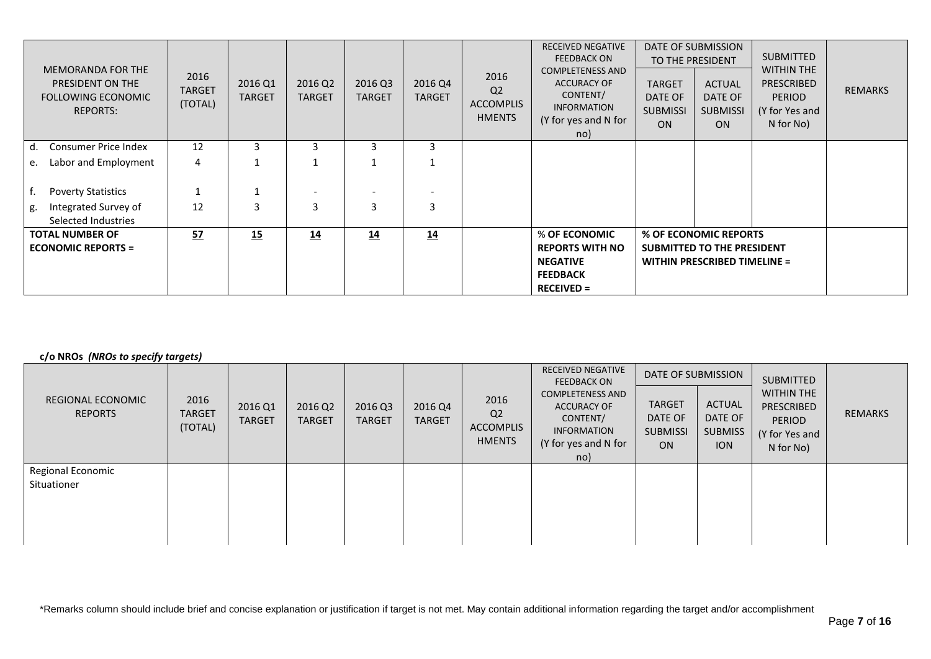| <b>MEMORANDA FOR THE</b><br>PRESIDENT ON THE<br>FOLLOWING ECONOMIC<br><b>REPORTS:</b> | 2016<br><b>TARGET</b><br>(TOTAL) | 2016 Q1<br><b>TARGET</b> | 2016 Q2<br><b>TARGET</b> | 2016 Q3<br><b>TARGET</b> | 2016 Q4<br><b>TARGET</b> | 2016<br>Q <sub>2</sub><br><b>ACCOMPLIS</b><br><b>HMENTS</b> | <b>RECEIVED NEGATIVE</b><br><b>FEEDBACK ON</b><br><b>COMPLETENESS AND</b><br><b>ACCURACY OF</b><br>CONTENT/<br><b>INFORMATION</b><br>(Y for yes and N for<br>no) | <b>TARGET</b><br>DATE OF<br><b>SUBMISSI</b><br>ON | DATE OF SUBMISSION<br>TO THE PRESIDENT<br><b>ACTUAL</b><br>DATE OF<br><b>SUBMISSI</b><br><b>ON</b> | <b>SUBMITTED</b><br><b>WITHIN THE</b><br>PRESCRIBED<br><b>PERIOD</b><br>(Y for Yes and<br>N for No) | <b>REMARKS</b> |
|---------------------------------------------------------------------------------------|----------------------------------|--------------------------|--------------------------|--------------------------|--------------------------|-------------------------------------------------------------|------------------------------------------------------------------------------------------------------------------------------------------------------------------|---------------------------------------------------|----------------------------------------------------------------------------------------------------|-----------------------------------------------------------------------------------------------------|----------------|
| Consumer Price Index<br>d.                                                            | 12                               |                          | 3                        | 3                        | 3                        |                                                             |                                                                                                                                                                  |                                                   |                                                                                                    |                                                                                                     |                |
| Labor and Employment<br>e.                                                            | 4                                |                          |                          |                          |                          |                                                             |                                                                                                                                                                  |                                                   |                                                                                                    |                                                                                                     |                |
| <b>Poverty Statistics</b>                                                             |                                  |                          |                          |                          |                          |                                                             |                                                                                                                                                                  |                                                   |                                                                                                    |                                                                                                     |                |
| Integrated Survey of<br>g.<br>Selected Industries                                     | 12                               | 3                        | 3                        | $\overline{3}$           | 3                        |                                                             |                                                                                                                                                                  |                                                   |                                                                                                    |                                                                                                     |                |
| <b>TOTAL NUMBER OF</b><br><b>ECONOMIC REPORTS =</b>                                   | 52                               | 15                       | 14                       | 14                       | 14                       |                                                             | % OF ECONOMIC<br><b>REPORTS WITH NO</b><br><b>NEGATIVE</b><br><b>FEEDBACK</b><br>$RECEIVED =$                                                                    |                                                   | % OF ECONOMIC REPORTS<br><b>SUBMITTED TO THE PRESIDENT</b><br><b>WITHIN PRESCRIBED TIMELINE =</b>  |                                                                                                     |                |

# **c/o NROs** *(NROs to specify targets)*

| REGIONAL ECONOMIC<br><b>REPORTS</b> | 2016<br><b>TARGET</b> | 2016 Q1       | 2016 Q2       | 2016 Q3       | 2016 Q4       | 2016<br>Q <sub>2</sub>     | <b>RECEIVED NEGATIVE</b><br><b>FEEDBACK ON</b><br><b>COMPLETENESS AND</b><br><b>ACCURACY OF</b><br>CONTENT/ | DATE OF SUBMISSION<br><b>TARGET</b><br>DATE OF | ACTUAL<br>DATE OF            | <b>SUBMITTED</b><br><b>WITHIN THE</b><br><b>PRESCRIBED</b> | REMARKS |
|-------------------------------------|-----------------------|---------------|---------------|---------------|---------------|----------------------------|-------------------------------------------------------------------------------------------------------------|------------------------------------------------|------------------------------|------------------------------------------------------------|---------|
|                                     | (TOTAL)               | <b>TARGET</b> | <b>TARGET</b> | <b>TARGET</b> | <b>TARGET</b> | ACCOMPLIS<br><b>HMENTS</b> | <b>INFORMATION</b><br>(Y for yes and N for<br>no)                                                           | <b>SUBMISSI</b><br><b>ON</b>                   | <b>SUBMISS</b><br><b>ION</b> | <b>PERIOD</b><br>(Y for Yes and<br>N for No)               |         |
| Regional Economic<br>Situationer    |                       |               |               |               |               |                            |                                                                                                             |                                                |                              |                                                            |         |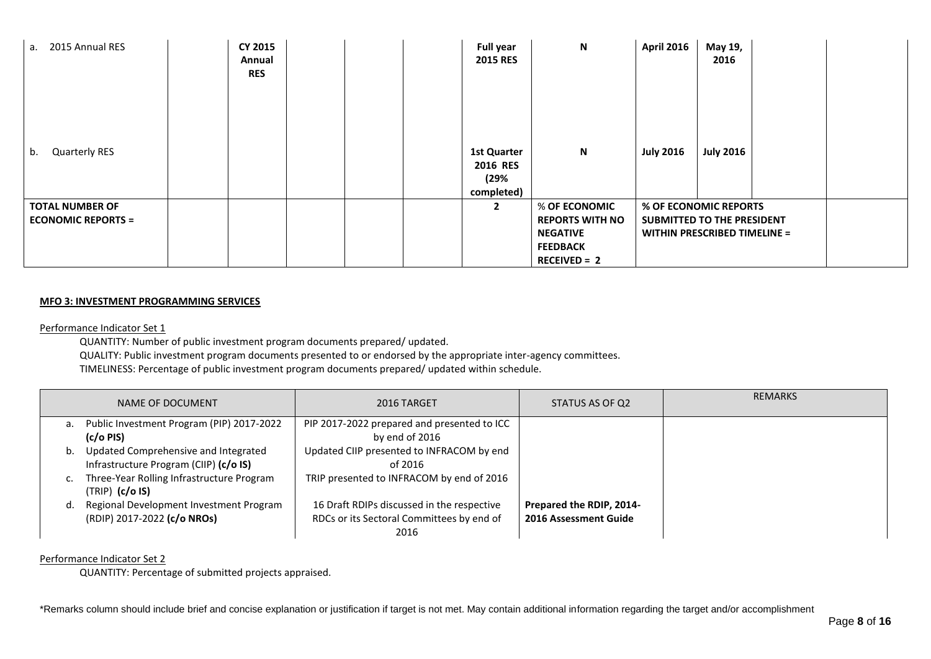| a. 2015 Annual RES                                  | CY 2015<br>Annual<br><b>RES</b> |  | <b>Full year</b><br><b>2015 RES</b>                  | $\boldsymbol{\mathsf{N}}$                                                                       | <b>April 2016</b>                                                                          | May 19,<br>2016  |  |
|-----------------------------------------------------|---------------------------------|--|------------------------------------------------------|-------------------------------------------------------------------------------------------------|--------------------------------------------------------------------------------------------|------------------|--|
| <b>Quarterly RES</b><br>b.                          |                                 |  | <b>1st Quarter</b><br>2016 RES<br>(29%<br>completed) | $\boldsymbol{\mathsf{N}}$                                                                       | <b>July 2016</b>                                                                           | <b>July 2016</b> |  |
| <b>TOTAL NUMBER OF</b><br><b>ECONOMIC REPORTS =</b> |                                 |  | $\mathbf{2}$                                         | % OF ECONOMIC<br><b>REPORTS WITH NO</b><br><b>NEGATIVE</b><br><b>FEEDBACK</b><br>$RECEIVED = 2$ | % OF ECONOMIC REPORTS<br>SUBMITTED TO THE PRESIDENT<br><b>WITHIN PRESCRIBED TIMELINE =</b> |                  |  |

#### **MFO 3: INVESTMENT PROGRAMMING SERVICES**

Performance Indicator Set 1

QUANTITY: Number of public investment program documents prepared/ updated.

QUALITY: Public investment program documents presented to or endorsed by the appropriate inter-agency committees.

TIMELINESS: Percentage of public investment program documents prepared/ updated within schedule.

|    | NAME OF DOCUMENT                          | 2016 TARGET                                 | STATUS AS OF Q2          | <b>REMARKS</b> |
|----|-------------------------------------------|---------------------------------------------|--------------------------|----------------|
| a. | Public Investment Program (PIP) 2017-2022 | PIP 2017-2022 prepared and presented to ICC |                          |                |
|    | (c/o PIS)                                 | by end of 2016                              |                          |                |
| b. | Updated Comprehensive and Integrated      | Updated CIIP presented to INFRACOM by end   |                          |                |
|    | Infrastructure Program (CIIP) (c/o IS)    | of 2016                                     |                          |                |
|    | Three-Year Rolling Infrastructure Program | TRIP presented to INFRACOM by end of 2016   |                          |                |
|    | $(TRIP)$ $(c/o$ IS)                       |                                             |                          |                |
| d. | Regional Development Investment Program   | 16 Draft RDIPs discussed in the respective  | Prepared the RDIP, 2014- |                |
|    | (RDIP) 2017-2022 (c/o NROs)               | RDCs or its Sectoral Committees by end of   | 2016 Assessment Guide    |                |
|    |                                           | 2016                                        |                          |                |

# Performance Indicator Set 2

QUANTITY: Percentage of submitted projects appraised.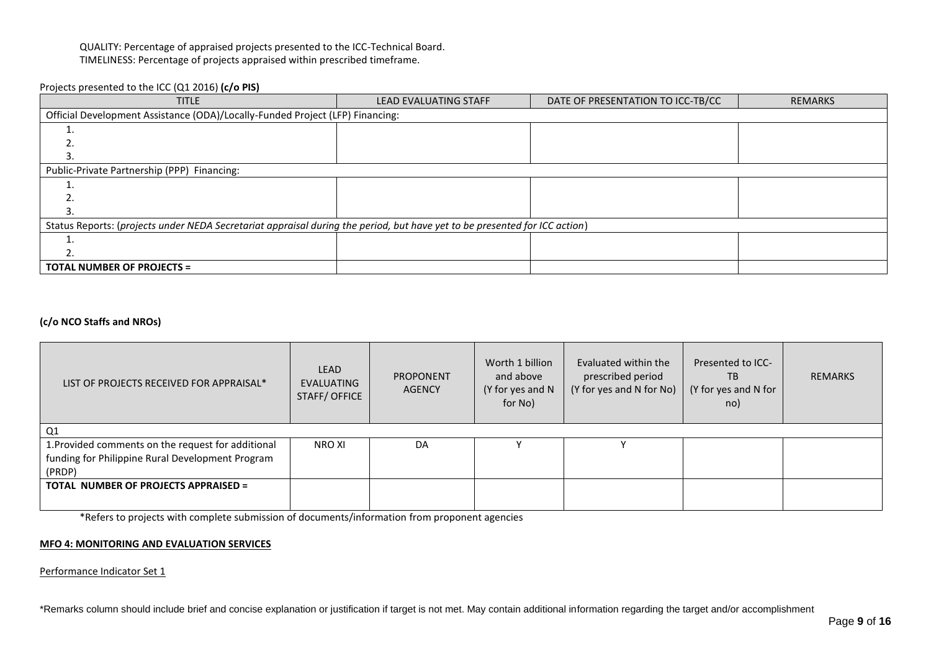# QUALITY: Percentage of appraised projects presented to the ICC-Technical Board. TIMELINESS: Percentage of projects appraised within prescribed timeframe.

# Projects presented to the ICC (Q1 2016) **(c/o PIS)**

| <b>TITLE</b>                                                                                                               | <b>LEAD EVALUATING STAFF</b> | DATE OF PRESENTATION TO ICC-TB/CC | <b>REMARKS</b> |  |  |  |  |  |  |
|----------------------------------------------------------------------------------------------------------------------------|------------------------------|-----------------------------------|----------------|--|--|--|--|--|--|
| Official Development Assistance (ODA)/Locally-Funded Project (LFP) Financing:                                              |                              |                                   |                |  |  |  |  |  |  |
|                                                                                                                            |                              |                                   |                |  |  |  |  |  |  |
|                                                                                                                            |                              |                                   |                |  |  |  |  |  |  |
|                                                                                                                            |                              |                                   |                |  |  |  |  |  |  |
| Public-Private Partnership (PPP) Financing:                                                                                |                              |                                   |                |  |  |  |  |  |  |
|                                                                                                                            |                              |                                   |                |  |  |  |  |  |  |
|                                                                                                                            |                              |                                   |                |  |  |  |  |  |  |
|                                                                                                                            |                              |                                   |                |  |  |  |  |  |  |
| Status Reports: (projects under NEDA Secretariat appraisal during the period, but have yet to be presented for ICC action) |                              |                                   |                |  |  |  |  |  |  |
|                                                                                                                            |                              |                                   |                |  |  |  |  |  |  |
|                                                                                                                            |                              |                                   |                |  |  |  |  |  |  |
| <b>TOTAL NUMBER OF PROJECTS =</b>                                                                                          |                              |                                   |                |  |  |  |  |  |  |

# **(c/o NCO Staffs and NROs)**

| LIST OF PROJECTS RECEIVED FOR APPRAISAL*           | <b>LEAD</b><br>EVALUATING<br>STAFF/OFFICE | <b>PROPONENT</b><br>AGENCY | Worth 1 billion<br>and above<br>(Y for yes and N<br>for No) | Evaluated within the<br>prescribed period<br>(Y for yes and N for No) | Presented to ICC-<br>TB<br>(Y for yes and N for<br>no) | <b>REMARKS</b> |
|----------------------------------------------------|-------------------------------------------|----------------------------|-------------------------------------------------------------|-----------------------------------------------------------------------|--------------------------------------------------------|----------------|
| Q1                                                 |                                           |                            |                                                             |                                                                       |                                                        |                |
| 1. Provided comments on the request for additional | NRO XI                                    | DA                         |                                                             |                                                                       |                                                        |                |
| funding for Philippine Rural Development Program   |                                           |                            |                                                             |                                                                       |                                                        |                |
| (PRDP)                                             |                                           |                            |                                                             |                                                                       |                                                        |                |
| <b>TOTAL NUMBER OF PROJECTS APPRAISED =</b>        |                                           |                            |                                                             |                                                                       |                                                        |                |
|                                                    |                                           |                            |                                                             |                                                                       |                                                        |                |

\*Refers to projects with complete submission of documents/information from proponent agencies

#### **MFO 4: MONITORING AND EVALUATION SERVICES**

Performance Indicator Set 1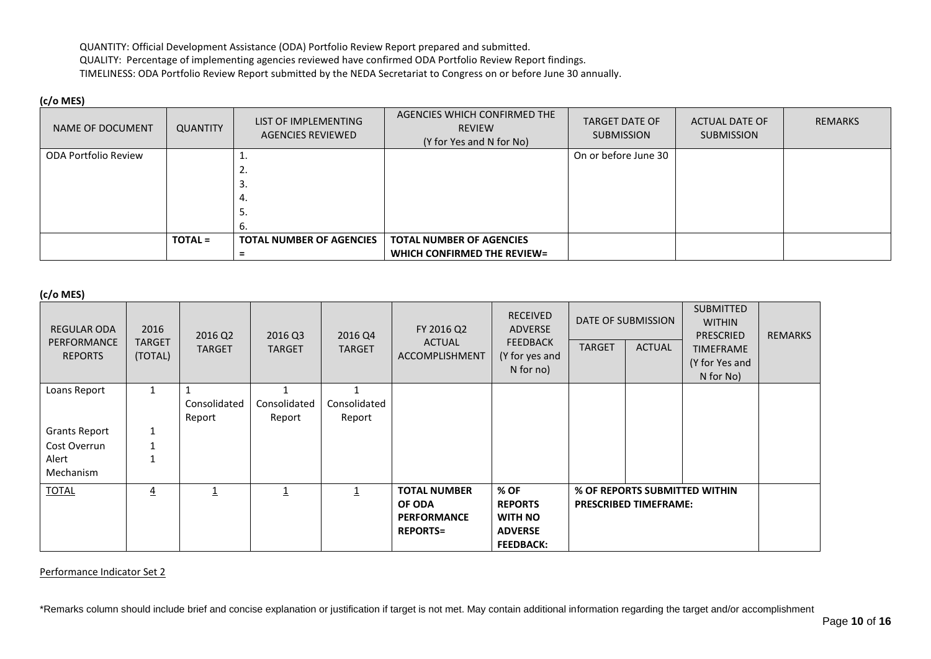QUANTITY: Official Development Assistance (ODA) Portfolio Review Report prepared and submitted. QUALITY: Percentage of implementing agencies reviewed have confirmed ODA Portfolio Review Report findings. TIMELINESS: ODA Portfolio Review Report submitted by the NEDA Secretariat to Congress on or before June 30 annually.

# **(c/o MES)**

| NAME OF DOCUMENT     | QUANTITY       | LIST OF IMPLEMENTING<br>AGENCIES REVIEWED | AGENCIES WHICH CONFIRMED THE<br><b>REVIEW</b><br>(Y for Yes and N for No) | <b>TARGET DATE OF</b><br><b>SUBMISSION</b> | <b>ACTUAL DATE OF</b><br><b>SUBMISSION</b> | <b>REMARKS</b> |
|----------------------|----------------|-------------------------------------------|---------------------------------------------------------------------------|--------------------------------------------|--------------------------------------------|----------------|
| ODA Portfolio Review |                |                                           |                                                                           | On or before June 30                       |                                            |                |
|                      |                | ۷.                                        |                                                                           |                                            |                                            |                |
|                      |                |                                           |                                                                           |                                            |                                            |                |
|                      |                | 4.                                        |                                                                           |                                            |                                            |                |
|                      |                |                                           |                                                                           |                                            |                                            |                |
|                      |                |                                           |                                                                           |                                            |                                            |                |
|                      | <b>TOTAL =</b> | <b>TOTAL NUMBER OF AGENCIES</b>           | <b>TOTAL NUMBER OF AGENCIES</b>                                           |                                            |                                            |                |
|                      |                |                                           | WHICH CONFIRMED THE REVIEW=                                               |                                            |                                            |                |

**(c/o MES)**

| $U$ $U$ $V$ $E$ $J$           |                |               |               |                         |                             |                                               |                              |                    |                                                       |                |
|-------------------------------|----------------|---------------|---------------|-------------------------|-----------------------------|-----------------------------------------------|------------------------------|--------------------|-------------------------------------------------------|----------------|
| <b>REGULAR ODA</b>            | 2016           | 2016 Q2       | 2016 Q3       | 2016 Q4                 | FY 2016 Q2<br><b>ACTUAL</b> | <b>RECEIVED</b><br>ADVERSE<br><b>FEEDBACK</b> |                              | DATE OF SUBMISSION | <b>SUBMITTED</b><br><b>WITHIN</b><br><b>PRESCRIED</b> | <b>REMARKS</b> |
| PERFORMANCE<br><b>REPORTS</b> | TARGET         | <b>TARGET</b> | <b>TARGET</b> | <b>TARGET</b>           | ACCOMPLISHMENT              |                                               | <b>TARGET</b>                | <b>ACTUAL</b>      | <b>TIMEFRAME</b>                                      |                |
|                               | (TOTAL)        |               |               |                         |                             | (Y for yes and<br>N for no)                   |                              |                    | (Y for Yes and                                        |                |
|                               |                |               |               |                         |                             |                                               |                              |                    | N for No)                                             |                |
| Loans Report                  |                |               |               |                         |                             |                                               |                              |                    |                                                       |                |
|                               |                | Consolidated  | Consolidated  | Consolidated            |                             |                                               |                              |                    |                                                       |                |
|                               |                | Report        | Report        | Report                  |                             |                                               |                              |                    |                                                       |                |
| <b>Grants Report</b>          | $\mathbf{1}$   |               |               |                         |                             |                                               |                              |                    |                                                       |                |
| Cost Overrun                  |                |               |               |                         |                             |                                               |                              |                    |                                                       |                |
| Alert                         |                |               |               |                         |                             |                                               |                              |                    |                                                       |                |
| Mechanism                     |                |               |               |                         |                             |                                               |                              |                    |                                                       |                |
| <b>TOTAL</b>                  | $\overline{4}$ |               |               | $\overline{\mathbf{1}}$ | <b>TOTAL NUMBER</b>         | % OF                                          |                              |                    | % OF REPORTS SUBMITTED WITHIN                         |                |
|                               |                |               |               |                         | OF ODA                      | <b>REPORTS</b>                                | <b>PRESCRIBED TIMEFRAME:</b> |                    |                                                       |                |
|                               |                |               |               |                         | <b>PERFORMANCE</b>          | <b>WITH NO</b>                                |                              |                    |                                                       |                |
|                               |                |               |               |                         | <b>REPORTS=</b>             | <b>ADVERSE</b>                                |                              |                    |                                                       |                |
|                               |                |               |               |                         |                             | <b>FEEDBACK:</b>                              |                              |                    |                                                       |                |

Performance Indicator Set 2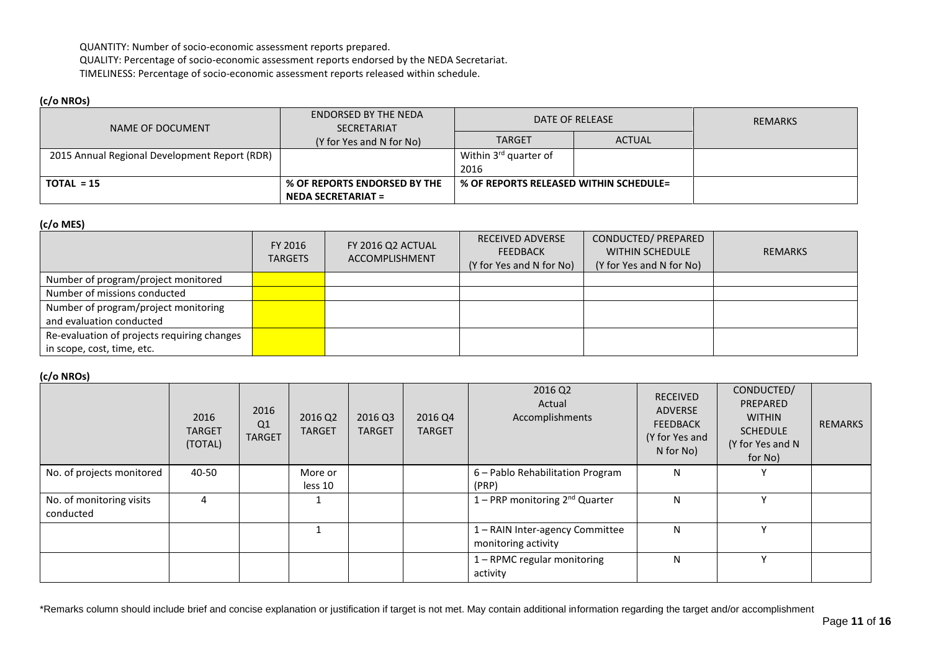QUANTITY: Number of socio-economic assessment reports prepared.

QUALITY: Percentage of socio-economic assessment reports endorsed by the NEDA Secretariat.

TIMELINESS: Percentage of socio-economic assessment reports released within schedule.

# **(c/o NROs)**

| NAME OF DOCUMENT                              | ENDORSED BY THE NEDA<br><b>SECRETARIAT</b> |                                        | DATE OF RELEASE | REMARKS |
|-----------------------------------------------|--------------------------------------------|----------------------------------------|-----------------|---------|
|                                               | (Y for Yes and N for No)                   | <b>TARGET</b>                          | <b>ACTUAL</b>   |         |
| 2015 Annual Regional Development Report (RDR) |                                            | Within 3 <sup>rd</sup> quarter of      |                 |         |
|                                               |                                            | 2016                                   |                 |         |
| $TOTAL = 15$                                  | % OF REPORTS ENDORSED BY THE               | % OF REPORTS RELEASED WITHIN SCHEDULE= |                 |         |
|                                               | <b>NEDA SECRETARIAT =</b>                  |                                        |                 |         |

## **(c/o MES)**

|                                             | FY 2016<br><b>TARGETS</b> | FY 2016 Q2 ACTUAL<br><b>ACCOMPLISHMENT</b> | <b>RECEIVED ADVERSE</b><br>FEEDBACK<br>(Y for Yes and N for No) | CONDUCTED/ PREPARED<br><b>WITHIN SCHEDULE</b><br>(Y for Yes and N for No) | <b>REMARKS</b> |
|---------------------------------------------|---------------------------|--------------------------------------------|-----------------------------------------------------------------|---------------------------------------------------------------------------|----------------|
| Number of program/project monitored         |                           |                                            |                                                                 |                                                                           |                |
| Number of missions conducted                |                           |                                            |                                                                 |                                                                           |                |
| Number of program/project monitoring        |                           |                                            |                                                                 |                                                                           |                |
| and evaluation conducted                    |                           |                                            |                                                                 |                                                                           |                |
| Re-evaluation of projects requiring changes |                           |                                            |                                                                 |                                                                           |                |
| in scope, cost, time, etc.                  |                           |                                            |                                                                 |                                                                           |                |

# **(c/o NROs)**

|                                       | 2016<br><b>TARGET</b><br>(TOTAL) | 2016<br>Q <sub>1</sub><br><b>TARGET</b> | 2016 Q2<br><b>TARGET</b> | 2016 Q3<br><b>TARGET</b> | 2016 Q4<br><b>TARGET</b> | 2016 Q2<br>Actual<br>Accomplishments                   | <b>RECEIVED</b><br><b>ADVERSE</b><br><b>FEEDBACK</b><br>(Y for Yes and<br>N for No) | CONDUCTED/<br>PREPARED<br><b>WITHIN</b><br><b>SCHEDULE</b><br>(Y for Yes and N<br>for No) | <b>REMARKS</b> |
|---------------------------------------|----------------------------------|-----------------------------------------|--------------------------|--------------------------|--------------------------|--------------------------------------------------------|-------------------------------------------------------------------------------------|-------------------------------------------------------------------------------------------|----------------|
| No. of projects monitored             | 40-50                            |                                         | More or<br>less 10       |                          |                          | 6 - Pablo Rehabilitation Program<br>(PRP)              | N                                                                                   |                                                                                           |                |
| No. of monitoring visits<br>conducted | 4                                |                                         |                          |                          |                          | 1 – PRP monitoring $2^{nd}$ Quarter                    | N                                                                                   | $\mathbf{v}$                                                                              |                |
|                                       |                                  |                                         |                          |                          |                          | 1 - RAIN Inter-agency Committee<br>monitoring activity | N                                                                                   |                                                                                           |                |
|                                       |                                  |                                         |                          |                          |                          | 1 - RPMC regular monitoring<br>activity                | N                                                                                   |                                                                                           |                |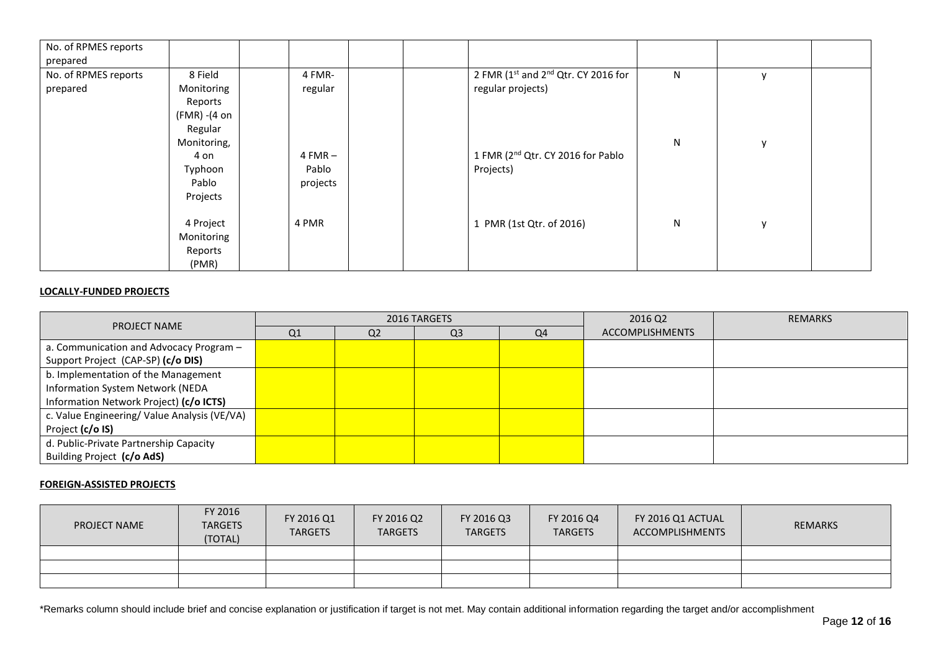| No. of RPMES reports |                          |           |                                               |   |              |  |
|----------------------|--------------------------|-----------|-----------------------------------------------|---|--------------|--|
| prepared             |                          |           |                                               |   |              |  |
| No. of RPMES reports | 8 Field                  | 4 FMR-    | 2 FMR (1st and 2nd Qtr. CY 2016 for           | N | $\mathbf v$  |  |
| prepared             | Monitoring               | regular   | regular projects)                             |   |              |  |
|                      | Reports                  |           |                                               |   |              |  |
|                      | $(FMR) - (4 \text{ on }$ |           |                                               |   |              |  |
|                      | Regular                  |           |                                               |   |              |  |
|                      | Monitoring,              |           |                                               | N | $\mathsf{V}$ |  |
|                      | 4 on                     | $4 FMR -$ | 1 FMR (2 <sup>nd</sup> Qtr. CY 2016 for Pablo |   |              |  |
|                      | Typhoon                  | Pablo     | Projects)                                     |   |              |  |
|                      | Pablo                    | projects  |                                               |   |              |  |
|                      | Projects                 |           |                                               |   |              |  |
|                      |                          |           |                                               |   |              |  |
|                      | 4 Project                | 4 PMR     | 1 PMR (1st Qtr. of 2016)                      | N | $\mathsf{v}$ |  |
|                      | Monitoring               |           |                                               |   |              |  |
|                      | Reports                  |           |                                               |   |              |  |
|                      | (PMR)                    |           |                                               |   |              |  |

## **LOCALLY-FUNDED PROJECTS**

| <b>PROJECT NAME</b>                          |    |                | 2016 TARGETS   |    | 2016 Q2                | <b>REMARKS</b> |
|----------------------------------------------|----|----------------|----------------|----|------------------------|----------------|
|                                              | Q1 | Q <sub>2</sub> | Q <sub>3</sub> | Q4 | <b>ACCOMPLISHMENTS</b> |                |
| a. Communication and Advocacy Program -      |    |                |                |    |                        |                |
| Support Project (CAP-SP) (c/o DIS)           |    |                |                |    |                        |                |
| b. Implementation of the Management          |    |                |                |    |                        |                |
| Information System Network (NEDA             |    |                |                |    |                        |                |
| Information Network Project) (c/o ICTS)      |    |                |                |    |                        |                |
| c. Value Engineering/ Value Analysis (VE/VA) |    |                |                |    |                        |                |
| Project (c/o IS)                             |    |                |                |    |                        |                |
| d. Public-Private Partnership Capacity       |    |                |                |    |                        |                |
| Building Project (c/o AdS)                   |    |                |                |    |                        |                |

# **FOREIGN-ASSISTED PROJECTS**

| <b>PROJECT NAME</b> | FY 2016<br><b>TARGETS</b><br>(TOTAL) | FY 2016 Q1<br><b>TARGETS</b> | FY 2016 Q2<br><b>TARGETS</b> | FY 2016 Q3<br><b>TARGETS</b> | FY 2016 Q4<br><b>TARGETS</b> | FY 2016 Q1 ACTUAL<br>ACCOMPLISHMENTS | REMARKS |
|---------------------|--------------------------------------|------------------------------|------------------------------|------------------------------|------------------------------|--------------------------------------|---------|
|                     |                                      |                              |                              |                              |                              |                                      |         |
|                     |                                      |                              |                              |                              |                              |                                      |         |
|                     |                                      |                              |                              |                              |                              |                                      |         |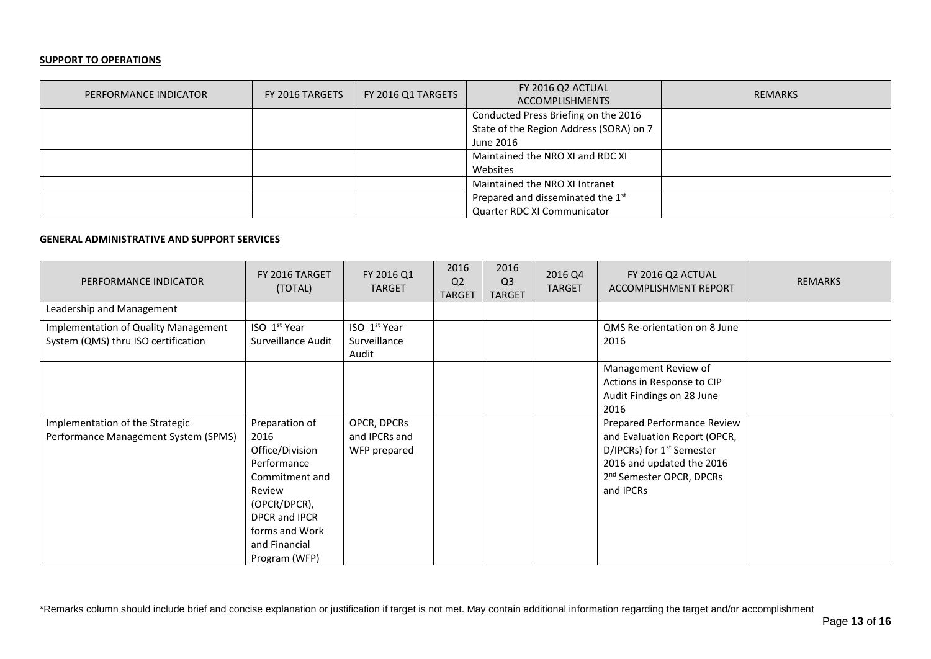#### **SUPPORT TO OPERATIONS**

| PERFORMANCE INDICATOR | FY 2016 TARGETS | FY 2016 Q1 TARGETS | FY 2016 Q2 ACTUAL<br><b>ACCOMPLISHMENTS</b> | <b>REMARKS</b> |
|-----------------------|-----------------|--------------------|---------------------------------------------|----------------|
|                       |                 |                    | Conducted Press Briefing on the 2016        |                |
|                       |                 |                    | State of the Region Address (SORA) on 7     |                |
|                       |                 |                    | June 2016                                   |                |
|                       |                 |                    | Maintained the NRO XI and RDC XI            |                |
|                       |                 |                    | Websites                                    |                |
|                       |                 |                    | Maintained the NRO XI Intranet              |                |
|                       |                 |                    | Prepared and disseminated the 1st           |                |
|                       |                 |                    | Quarter RDC XI Communicator                 |                |

## **GENERAL ADMINISTRATIVE AND SUPPORT SERVICES**

| PERFORMANCE INDICATOR                                                       | FY 2016 TARGET<br>(TOTAL)                                                                                                                                                 | FY 2016 Q1<br><b>TARGET</b>                       | 2016<br>Q <sub>2</sub><br><b>TARGET</b> | 2016<br>Q <sub>3</sub><br><b>TARGET</b> | 2016 Q4<br><b>TARGET</b> | FY 2016 Q2 ACTUAL<br>ACCOMPLISHMENT REPORT                                                                                                                                             | <b>REMARKS</b> |
|-----------------------------------------------------------------------------|---------------------------------------------------------------------------------------------------------------------------------------------------------------------------|---------------------------------------------------|-----------------------------------------|-----------------------------------------|--------------------------|----------------------------------------------------------------------------------------------------------------------------------------------------------------------------------------|----------------|
| Leadership and Management                                                   |                                                                                                                                                                           |                                                   |                                         |                                         |                          |                                                                                                                                                                                        |                |
| Implementation of Quality Management<br>System (QMS) thru ISO certification | ISO 1 <sup>st</sup> Year<br>Surveillance Audit                                                                                                                            | ISO 1 <sup>st</sup> Year<br>Surveillance<br>Audit |                                         |                                         |                          | QMS Re-orientation on 8 June<br>2016                                                                                                                                                   |                |
|                                                                             |                                                                                                                                                                           |                                                   |                                         |                                         |                          | Management Review of<br>Actions in Response to CIP<br>Audit Findings on 28 June<br>2016                                                                                                |                |
| Implementation of the Strategic<br>Performance Management System (SPMS)     | Preparation of<br>2016<br>Office/Division<br>Performance<br>Commitment and<br>Review<br>(OPCR/DPCR),<br>DPCR and IPCR<br>forms and Work<br>and Financial<br>Program (WFP) | OPCR, DPCRs<br>and IPCRs and<br>WFP prepared      |                                         |                                         |                          | Prepared Performance Review<br>and Evaluation Report (OPCR,<br>D/IPCRs) for 1 <sup>st</sup> Semester<br>2016 and updated the 2016<br>2 <sup>nd</sup> Semester OPCR, DPCRs<br>and IPCRs |                |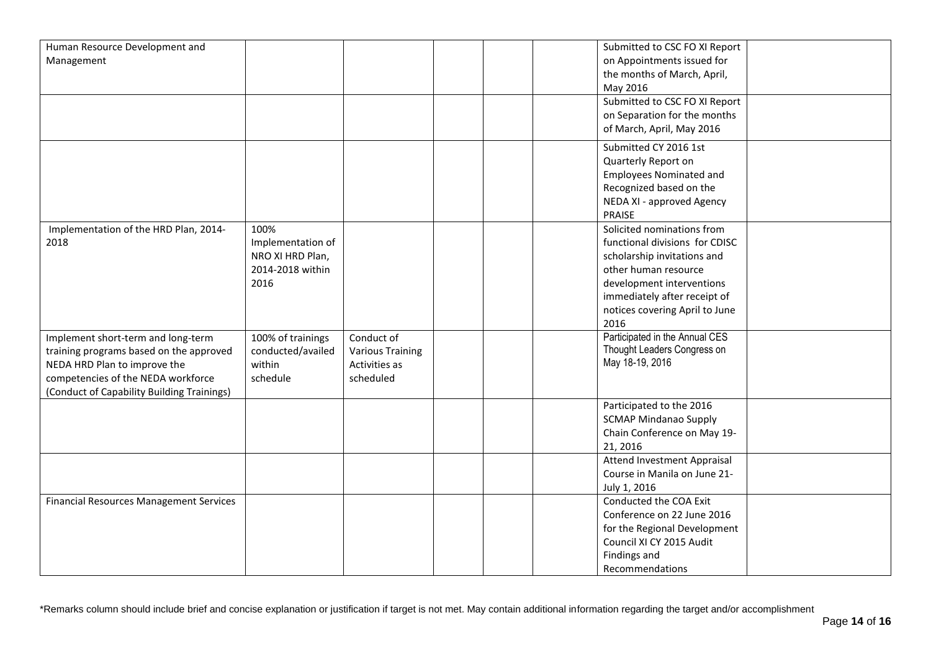| Human Resource Development and                 |                   |                         |  | Submitted to CSC FO XI Report  |  |
|------------------------------------------------|-------------------|-------------------------|--|--------------------------------|--|
| Management                                     |                   |                         |  | on Appointments issued for     |  |
|                                                |                   |                         |  | the months of March, April,    |  |
|                                                |                   |                         |  | May 2016                       |  |
|                                                |                   |                         |  | Submitted to CSC FO XI Report  |  |
|                                                |                   |                         |  | on Separation for the months   |  |
|                                                |                   |                         |  | of March, April, May 2016      |  |
|                                                |                   |                         |  |                                |  |
|                                                |                   |                         |  | Submitted CY 2016 1st          |  |
|                                                |                   |                         |  | Quarterly Report on            |  |
|                                                |                   |                         |  | <b>Employees Nominated and</b> |  |
|                                                |                   |                         |  | Recognized based on the        |  |
|                                                |                   |                         |  | NEDA XI - approved Agency      |  |
|                                                |                   |                         |  | PRAISE                         |  |
| Implementation of the HRD Plan, 2014-          | 100%              |                         |  | Solicited nominations from     |  |
| 2018                                           | Implementation of |                         |  | functional divisions for CDISC |  |
|                                                | NRO XI HRD Plan,  |                         |  | scholarship invitations and    |  |
|                                                | 2014-2018 within  |                         |  | other human resource           |  |
|                                                | 2016              |                         |  | development interventions      |  |
|                                                |                   |                         |  | immediately after receipt of   |  |
|                                                |                   |                         |  | notices covering April to June |  |
|                                                |                   |                         |  | 2016                           |  |
| Implement short-term and long-term             | 100% of trainings | Conduct of              |  | Participated in the Annual CES |  |
| training programs based on the approved        | conducted/availed | <b>Various Training</b> |  | Thought Leaders Congress on    |  |
| NEDA HRD Plan to improve the                   | within            | Activities as           |  | May 18-19, 2016                |  |
| competencies of the NEDA workforce             | schedule          | scheduled               |  |                                |  |
| (Conduct of Capability Building Trainings)     |                   |                         |  |                                |  |
|                                                |                   |                         |  | Participated to the 2016       |  |
|                                                |                   |                         |  |                                |  |
|                                                |                   |                         |  | <b>SCMAP Mindanao Supply</b>   |  |
|                                                |                   |                         |  | Chain Conference on May 19-    |  |
|                                                |                   |                         |  | 21, 2016                       |  |
|                                                |                   |                         |  | Attend Investment Appraisal    |  |
|                                                |                   |                         |  | Course in Manila on June 21-   |  |
|                                                |                   |                         |  | July 1, 2016                   |  |
| <b>Financial Resources Management Services</b> |                   |                         |  | Conducted the COA Exit         |  |
|                                                |                   |                         |  | Conference on 22 June 2016     |  |
|                                                |                   |                         |  | for the Regional Development   |  |
|                                                |                   |                         |  | Council XI CY 2015 Audit       |  |
|                                                |                   |                         |  | Findings and                   |  |
|                                                |                   |                         |  | Recommendations                |  |
|                                                |                   |                         |  |                                |  |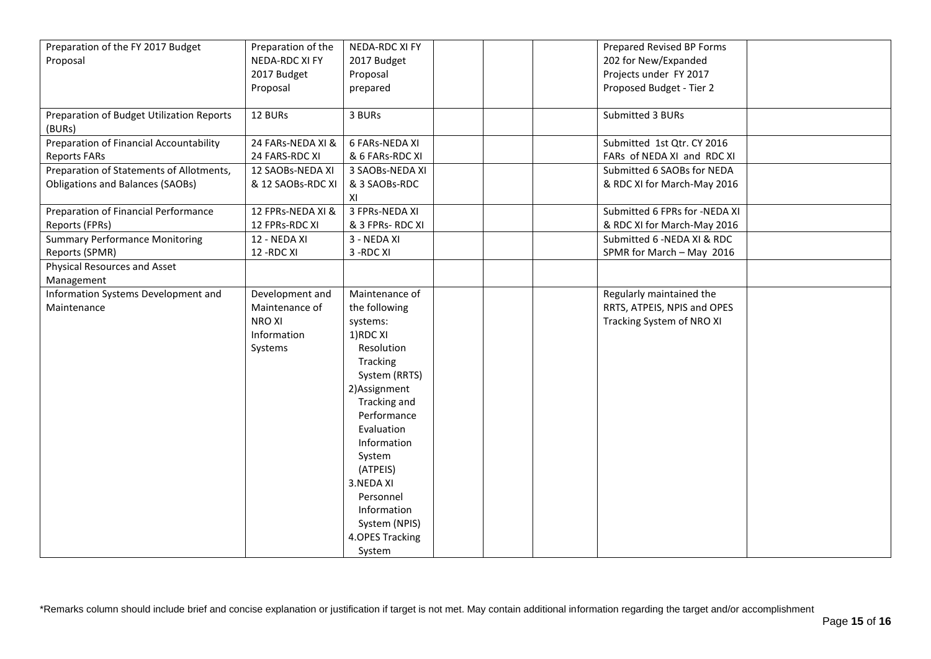|                                           |                    | NEDA-RDC XI FY   |  |                               |  |
|-------------------------------------------|--------------------|------------------|--|-------------------------------|--|
| Preparation of the FY 2017 Budget         | Preparation of the |                  |  | Prepared Revised BP Forms     |  |
| Proposal                                  | NEDA-RDC XI FY     | 2017 Budget      |  | 202 for New/Expanded          |  |
|                                           | 2017 Budget        | Proposal         |  | Projects under FY 2017        |  |
|                                           | Proposal           | prepared         |  | Proposed Budget - Tier 2      |  |
|                                           |                    |                  |  |                               |  |
| Preparation of Budget Utilization Reports | 12 BURs            | 3 BURs           |  | Submitted 3 BURs              |  |
| (BURs)                                    |                    |                  |  |                               |  |
| Preparation of Financial Accountability   | 24 FARs-NEDA XI &  | 6 FARs-NEDA XI   |  | Submitted 1st Qtr. CY 2016    |  |
| <b>Reports FARs</b>                       | 24 FARS-RDC XI     | & 6 FARs-RDC XI  |  | FARs of NEDA XI and RDC XI    |  |
| Preparation of Statements of Allotments,  | 12 SAOBs-NEDA XI   | 3 SAOBs-NEDA XI  |  | Submitted 6 SAOBs for NEDA    |  |
| <b>Obligations and Balances (SAOBs)</b>   | & 12 SAOBs-RDC XI  | & 3 SAOBs-RDC    |  | & RDC XI for March-May 2016   |  |
|                                           |                    | XI               |  |                               |  |
| Preparation of Financial Performance      | 12 FPRs-NEDA XI &  | 3 FPRs-NEDA XI   |  | Submitted 6 FPRs for -NEDA XI |  |
| Reports (FPRs)                            | 12 FPRs-RDC XI     | & 3 FPRs- RDC XI |  | & RDC XI for March-May 2016   |  |
| <b>Summary Performance Monitoring</b>     | 12 - NEDA XI       | 3 - NEDA XI      |  | Submitted 6 - NEDA XI & RDC   |  |
| Reports (SPMR)                            | 12 - RDC XI        | 3-RDC XI         |  | SPMR for March - May 2016     |  |
| <b>Physical Resources and Asset</b>       |                    |                  |  |                               |  |
| Management                                |                    |                  |  |                               |  |
| Information Systems Development and       | Development and    | Maintenance of   |  | Regularly maintained the      |  |
| Maintenance                               | Maintenance of     | the following    |  | RRTS, ATPEIS, NPIS and OPES   |  |
|                                           | <b>NROXI</b>       |                  |  | Tracking System of NRO XI     |  |
|                                           |                    | systems:         |  |                               |  |
|                                           | Information        | 1)RDC XI         |  |                               |  |
|                                           | Systems            | Resolution       |  |                               |  |
|                                           |                    | Tracking         |  |                               |  |
|                                           |                    | System (RRTS)    |  |                               |  |
|                                           |                    | 2) Assignment    |  |                               |  |
|                                           |                    | Tracking and     |  |                               |  |
|                                           |                    | Performance      |  |                               |  |
|                                           |                    | Evaluation       |  |                               |  |
|                                           |                    | Information      |  |                               |  |
|                                           |                    | System           |  |                               |  |
|                                           |                    | (ATPEIS)         |  |                               |  |
|                                           |                    | 3.NEDA XI        |  |                               |  |
|                                           |                    | Personnel        |  |                               |  |
|                                           |                    | Information      |  |                               |  |
|                                           |                    | System (NPIS)    |  |                               |  |
|                                           |                    | 4.OPES Tracking  |  |                               |  |
|                                           |                    | System           |  |                               |  |